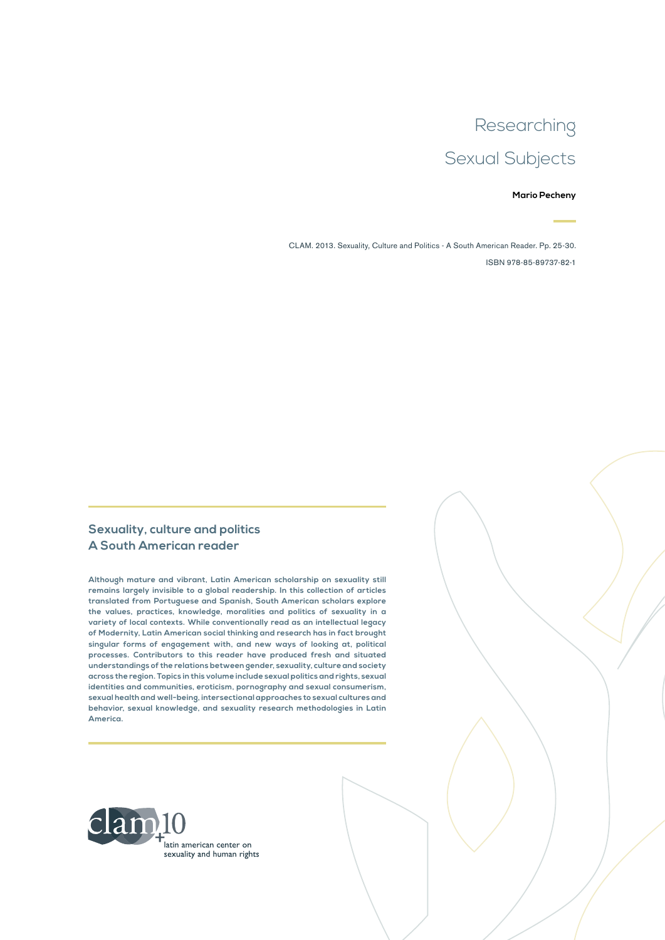### Researching

## Sexual Subjects

#### **Mario Pecheny**

CLAM. 2013. Sexuality, Culture and Politics - A South American Reader. Pp. 25-30. ISBN 978-85-89737-82-1

#### **Sexuality, culture and politics A South American reader**

**Although mature and vibrant, Latin American scholarship on sexuality still remains largely invisible to a global readership. In this collection of articles translated from Portuguese and Spanish, South American scholars explore the values, practices, knowledge, moralities and politics of sexuality in a variety of local contexts. While conventionally read as an intellectual legacy of Modernity, Latin American social thinking and research has in fact brought singular forms of engagement with, and new ways of looking at, political processes. Contributors to this reader have produced fresh and situated understandings of the relations between gender, sexuality, culture and society across the region. Topics in this volume include sexual politics and rights, sexual identities and communities, eroticism, pornography and sexual consumerism, sexual health and well-being, intersectional approaches to sexual cultures and behavior, sexual knowledge, and sexuality research methodologies in Latin America.**

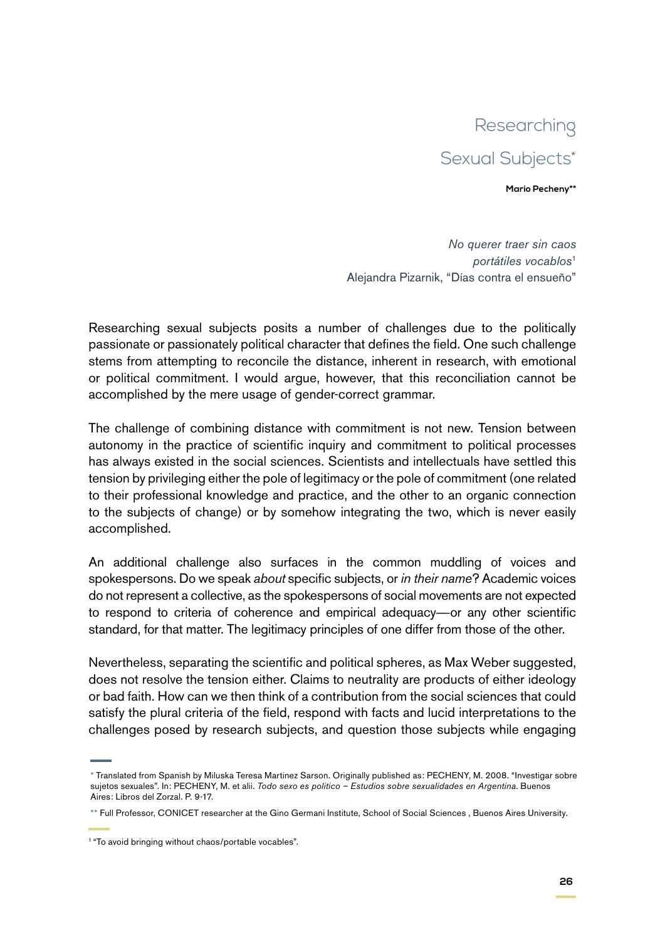# Researching Sexual Subjects\*

**Mario Pecheny\*\***

*No querer traer sin caos portátiles vocablos*<sup>1</sup> Alejandra Pizarnik, "Días contra el ensueño"

Researching sexual subjects posits a number of challenges due to the politically passionate or passionately political character that defines the field. One such challenge stems from attempting to reconcile the distance, inherent in research, with emotional or political commitment. I would argue, however, that this reconciliation cannot be accomplished by the mere usage of gender-correct grammar.

The challenge of combining distance with commitment is not new. Tension between autonomy in the practice of scientific inquiry and commitment to political processes has always existed in the social sciences. Scientists and intellectuals have settled this tension by privileging either the pole of legitimacy or the pole of commitment (one related to their professional knowledge and practice, and the other to an organic connection to the subjects of change) or by somehow integrating the two, which is never easily accomplished.

An additional challenge also surfaces in the common muddling of voices and spokespersons. Do we speak *about* specific subjects, or *in their name*? Academic voices do not represent a collective, as the spokespersons of social movements are not expected to respond to criteria of coherence and empirical adequacy—or any other scientific standard, for that matter. The legitimacy principles of one differ from those of the other.

Nevertheless, separating the scientific and political spheres, as Max Weber suggested, does not resolve the tension either. Claims to neutrality are products of either ideology or bad faith. How can we then think of a contribution from the social sciences that could satisfy the plural criteria of the field, respond with facts and lucid interpretations to the challenges posed by research subjects, and question those subjects while engaging

<sup>\*</sup> Translated from Spanish by Miluska Teresa Martinez Sarson. Originally published as: PECHENY, M. 2008. "Investigar sobre sujetos sexuales". In: PECHENY, M. et alii. *Todo sexo es politico – Estudios sobre sexualidades en Argentina*. Buenos Aires: Libros del Zorzal. P. 9-17.

<sup>\*\*</sup> Full Professor, CONICET researcher at the Gino Germani Institute, School of Social Sciences , Buenos Aires University.

<sup>1 &</sup>quot;To avoid bringing without chaos/portable vocables".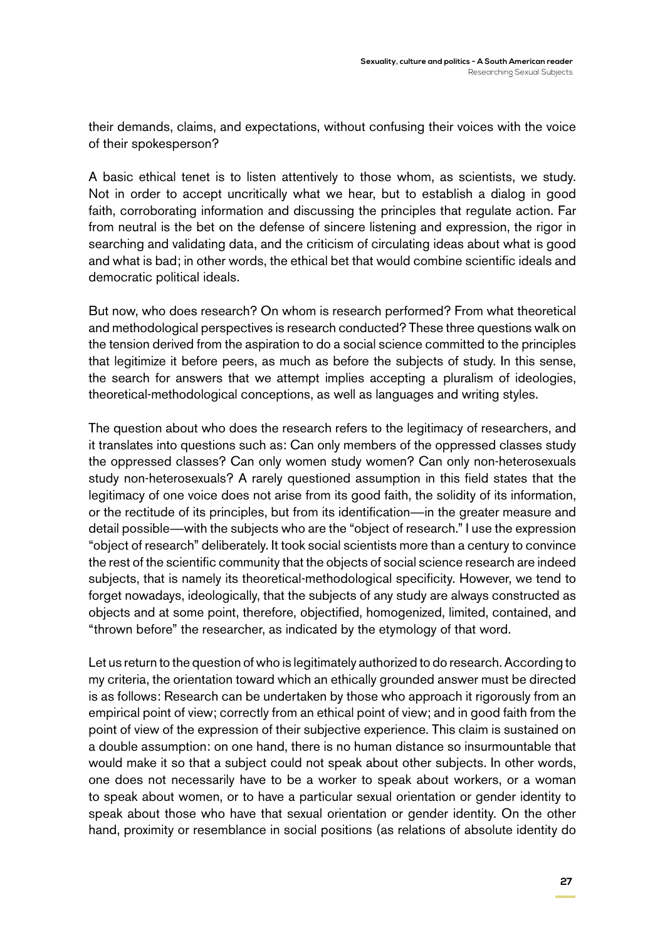their demands, claims, and expectations, without confusing their voices with the voice of their spokesperson?

A basic ethical tenet is to listen attentively to those whom, as scientists, we study. Not in order to accept uncritically what we hear, but to establish a dialog in good faith, corroborating information and discussing the principles that regulate action. Far from neutral is the bet on the defense of sincere listening and expression, the rigor in searching and validating data, and the criticism of circulating ideas about what is good and what is bad; in other words, the ethical bet that would combine scientific ideals and democratic political ideals.

But now, who does research? On whom is research performed? From what theoretical and methodological perspectives is research conducted? These three questions walk on the tension derived from the aspiration to do a social science committed to the principles that legitimize it before peers, as much as before the subjects of study. In this sense, the search for answers that we attempt implies accepting a pluralism of ideologies, theoretical-methodological conceptions, as well as languages and writing styles.

The question about who does the research refers to the legitimacy of researchers, and it translates into questions such as: Can only members of the oppressed classes study the oppressed classes? Can only women study women? Can only non-heterosexuals study non-heterosexuals? A rarely questioned assumption in this field states that the legitimacy of one voice does not arise from its good faith, the solidity of its information, or the rectitude of its principles, but from its identification—in the greater measure and detail possible—with the subjects who are the "object of research." I use the expression "object of research" deliberately. It took social scientists more than a century to convince the rest of the scientific community that the objects of social science research are indeed subjects, that is namely its theoretical-methodological specificity. However, we tend to forget nowadays, ideologically, that the subjects of any study are always constructed as objects and at some point, therefore, objectified, homogenized, limited, contained, and "thrown before" the researcher, as indicated by the etymology of that word.

Let us return to the question of who is legitimately authorized to do research. According to my criteria, the orientation toward which an ethically grounded answer must be directed is as follows: Research can be undertaken by those who approach it rigorously from an empirical point of view; correctly from an ethical point of view; and in good faith from the point of view of the expression of their subjective experience. This claim is sustained on a double assumption: on one hand, there is no human distance so insurmountable that would make it so that a subject could not speak about other subjects. In other words, one does not necessarily have to be a worker to speak about workers, or a woman to speak about women, or to have a particular sexual orientation or gender identity to speak about those who have that sexual orientation or gender identity. On the other hand, proximity or resemblance in social positions (as relations of absolute identity do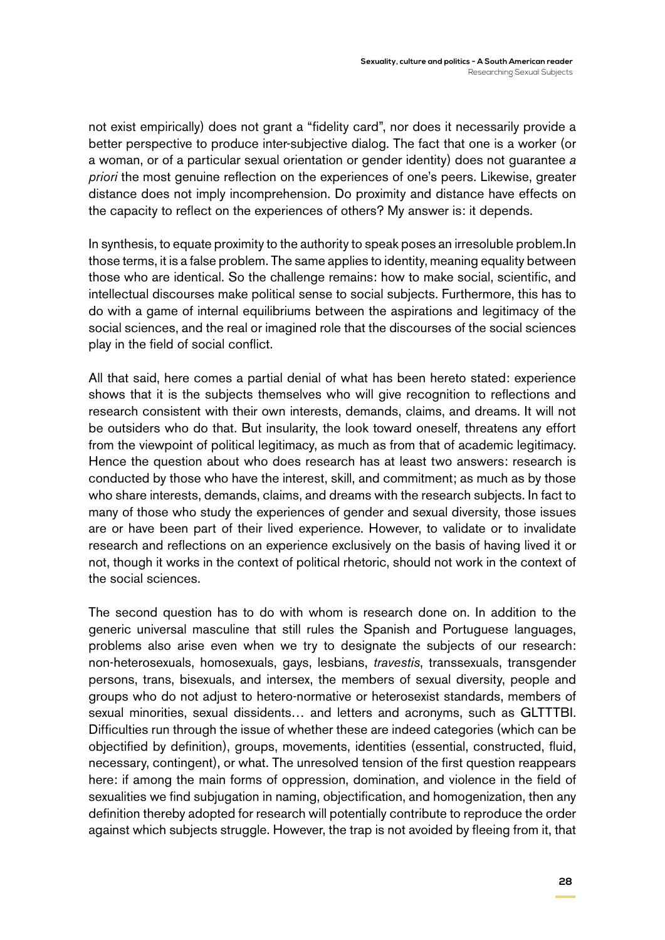not exist empirically) does not grant a "fidelity card", nor does it necessarily provide a better perspective to produce inter-subjective dialog. The fact that one is a worker (or a woman, or of a particular sexual orientation or gender identity) does not guarantee *a priori* the most genuine reflection on the experiences of one's peers. Likewise, greater distance does not imply incomprehension. Do proximity and distance have effects on the capacity to reflect on the experiences of others? My answer is: it depends.

In synthesis, to equate proximity to the authority to speak poses an irresoluble problem.In those terms, it is a false problem. The same applies to identity, meaning equality between those who are identical. So the challenge remains: how to make social, scientific, and intellectual discourses make political sense to social subjects. Furthermore, this has to do with a game of internal equilibriums between the aspirations and legitimacy of the social sciences, and the real or imagined role that the discourses of the social sciences play in the field of social conflict.

All that said, here comes a partial denial of what has been hereto stated: experience shows that it is the subjects themselves who will give recognition to reflections and research consistent with their own interests, demands, claims, and dreams. It will not be outsiders who do that. But insularity, the look toward oneself, threatens any effort from the viewpoint of political legitimacy, as much as from that of academic legitimacy. Hence the question about who does research has at least two answers: research is conducted by those who have the interest, skill, and commitment; as much as by those who share interests, demands, claims, and dreams with the research subjects. In fact to many of those who study the experiences of gender and sexual diversity, those issues are or have been part of their lived experience. However, to validate or to invalidate research and reflections on an experience exclusively on the basis of having lived it or not, though it works in the context of political rhetoric, should not work in the context of the social sciences.

The second question has to do with whom is research done on. In addition to the generic universal masculine that still rules the Spanish and Portuguese languages, problems also arise even when we try to designate the subjects of our research: non-heterosexuals, homosexuals, gays, lesbians, *travestis*, transsexuals, transgender persons, trans, bisexuals, and intersex, the members of sexual diversity, people and groups who do not adjust to hetero-normative or heterosexist standards, members of sexual minorities, sexual dissidents… and letters and acronyms, such as GLTTTBI. Difficulties run through the issue of whether these are indeed categories (which can be objectified by definition), groups, movements, identities (essential, constructed, fluid, necessary, contingent), or what. The unresolved tension of the first question reappears here: if among the main forms of oppression, domination, and violence in the field of sexualities we find subjugation in naming, objectification, and homogenization, then any definition thereby adopted for research will potentially contribute to reproduce the order against which subjects struggle. However, the trap is not avoided by fleeing from it, that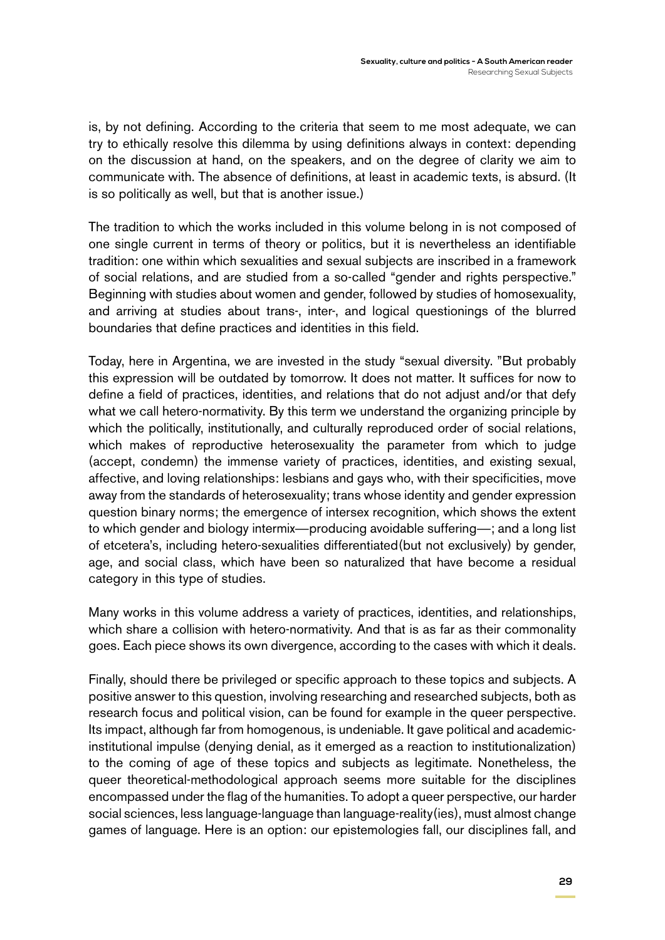is, by not defining. According to the criteria that seem to me most adequate, we can try to ethically resolve this dilemma by using definitions always in context: depending on the discussion at hand, on the speakers, and on the degree of clarity we aim to communicate with. The absence of definitions, at least in academic texts, is absurd. (It is so politically as well, but that is another issue.)

The tradition to which the works included in this volume belong in is not composed of one single current in terms of theory or politics, but it is nevertheless an identifiable tradition: one within which sexualities and sexual subjects are inscribed in a framework of social relations, and are studied from a so-called "gender and rights perspective." Beginning with studies about women and gender, followed by studies of homosexuality, and arriving at studies about trans-, inter-, and logical questionings of the blurred boundaries that define practices and identities in this field.

Today, here in Argentina, we are invested in the study "sexual diversity. "But probably this expression will be outdated by tomorrow. It does not matter. It suffices for now to define a field of practices, identities, and relations that do not adjust and/or that defy what we call hetero-normativity. By this term we understand the organizing principle by which the politically, institutionally, and culturally reproduced order of social relations, which makes of reproductive heterosexuality the parameter from which to judge (accept, condemn) the immense variety of practices, identities, and existing sexual, affective, and loving relationships: lesbians and gays who, with their specificities, move away from the standards of heterosexuality; trans whose identity and gender expression question binary norms; the emergence of intersex recognition, which shows the extent to which gender and biology intermix—producing avoidable suffering—; and a long list of etcetera's, including hetero-sexualities differentiated(but not exclusively) by gender, age, and social class, which have been so naturalized that have become a residual category in this type of studies.

Many works in this volume address a variety of practices, identities, and relationships, which share a collision with hetero-normativity. And that is as far as their commonality goes. Each piece shows its own divergence, according to the cases with which it deals.

Finally, should there be privileged or specific approach to these topics and subjects. A positive answer to this question, involving researching and researched subjects, both as research focus and political vision, can be found for example in the queer perspective. Its impact, although far from homogenous, is undeniable. It gave political and academicinstitutional impulse (denying denial, as it emerged as a reaction to institutionalization) to the coming of age of these topics and subjects as legitimate. Nonetheless, the queer theoretical-methodological approach seems more suitable for the disciplines encompassed under the flag of the humanities. To adopt a queer perspective, our harder social sciences, less language-language than language-reality(ies), must almost change games of language. Here is an option: our epistemologies fall, our disciplines fall, and